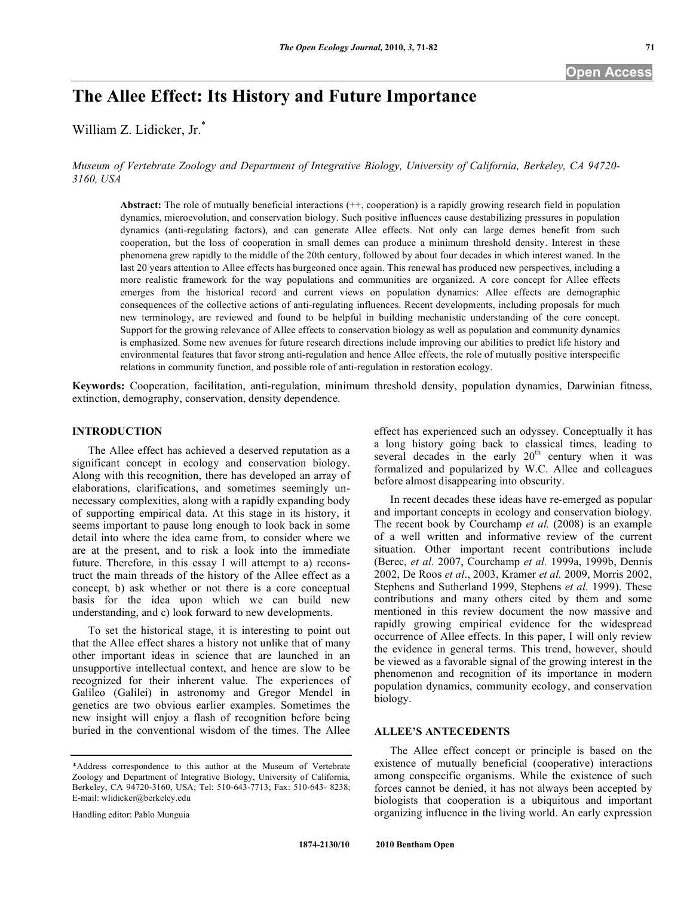# **The Allee Effect: Its History and Future Importance**

William Z. Lidicker, Jr.\*

*Museum of Vertebrate Zoology and Department of Integrative Biology, University of California, Berkeley, CA 94720- 3160, USA*

Abstract: The role of mutually beneficial interactions  $(+, \text{cooperation})$  is a rapidly growing research field in population dynamics, microevolution, and conservation biology. Such positive influences cause destabilizing pressures in population dynamics (anti-regulating factors), and can generate Allee effects. Not only can large demes benefit from such cooperation, but the loss of cooperation in small demes can produce a minimum threshold density. Interest in these phenomena grew rapidly to the middle of the 20th century, followed by about four decades in which interest waned. In the last 20 years attention to Allee effects has burgeoned once again. This renewal has produced new perspectives, including a more realistic framework for the way populations and communities are organized. A core concept for Allee effects emerges from the historical record and current views on population dynamics: Allee effects are demographic consequences of the collective actions of anti-regulating influences. Recent developments, including proposals for much new terminology, are reviewed and found to be helpful in building mechanistic understanding of the core concept. Support for the growing relevance of Allee effects to conservation biology as well as population and community dynamics is emphasized. Some new avenues for future research directions include improving our abilities to predict life history and environmental features that favor strong anti-regulation and hence Allee effects, the role of mutually positive interspecific relations in community function, and possible role of anti-regulation in restoration ecology.

**Keywords:** Cooperation, facilitation, anti-regulation, minimum threshold density, population dynamics, Darwinian fitness, extinction, demography, conservation, density dependence.

## **INTRODUCTION**

The Allee effect has achieved a deserved reputation as a significant concept in ecology and conservation biology. Along with this recognition, there has developed an array of elaborations, clarifications, and sometimes seemingly unnecessary complexities, along with a rapidly expanding body of supporting empirical data. At this stage in its history, it seems important to pause long enough to look back in some detail into where the idea came from, to consider where we are at the present, and to risk a look into the immediate future. Therefore, in this essay I will attempt to a) reconstruct the main threads of the history of the Allee effect as a concept, b) ask whether or not there is a core conceptual basis for the idea upon which we can build new understanding, and c) look forward to new developments.

To set the historical stage, it is interesting to point out that the Allee effect shares a history not unlike that of many other important ideas in science that are launched in an unsupportive intellectual context, and hence are slow to be recognized for their inherent value. The experiences of Galileo (Galilei) in astronomy and Gregor Mendel in genetics are two obvious earlier examples. Sometimes the new insight will enjoy a flash of recognition before being buried in the conventional wisdom of the times. The Allee

Handling editor: Pablo Munguia

effect has experienced such an odyssey. Conceptually it has a long history going back to classical times, leading to several decades in the early  $20<sup>th</sup>$  century when it was formalized and popularized by W.C. Allee and colleagues before almost disappearing into obscurity.

In recent decades these ideas have re-emerged as popular and important concepts in ecology and conservation biology. The recent book by Courchamp *et al.* (2008) is an example of a well written and informative review of the current situation. Other important recent contributions include (Berec, *et al.* 2007, Courchamp *et al.* 1999a, 1999b, Dennis 2002, De Roos *et al*., 2003, Kramer *et al.* 2009, Morris 2002, Stephens and Sutherland 1999, Stephens *et al.* 1999). These contributions and many others cited by them and some mentioned in this review document the now massive and rapidly growing empirical evidence for the widespread occurrence of Allee effects. In this paper, I will only review the evidence in general terms. This trend, however, should be viewed as a favorable signal of the growing interest in the phenomenon and recognition of its importance in modern population dynamics, community ecology, and conservation biology.

#### **ALLEE'S ANTECEDENTS**

The Allee effect concept or principle is based on the existence of mutually beneficial (cooperative) interactions among conspecific organisms. While the existence of such forces cannot be denied, it has not always been accepted by biologists that cooperation is a ubiquitous and important organizing influence in the living world. An early expression

<sup>\*</sup>Address correspondence to this author at the Museum of Vertebrate Zoology and Department of Integrative Biology, University of California, Berkeley, CA 94720-3160, USA; Tel: 510-643-7713; Fax: 510-643- 8238; E-mail: wlidicker@berkeley.edu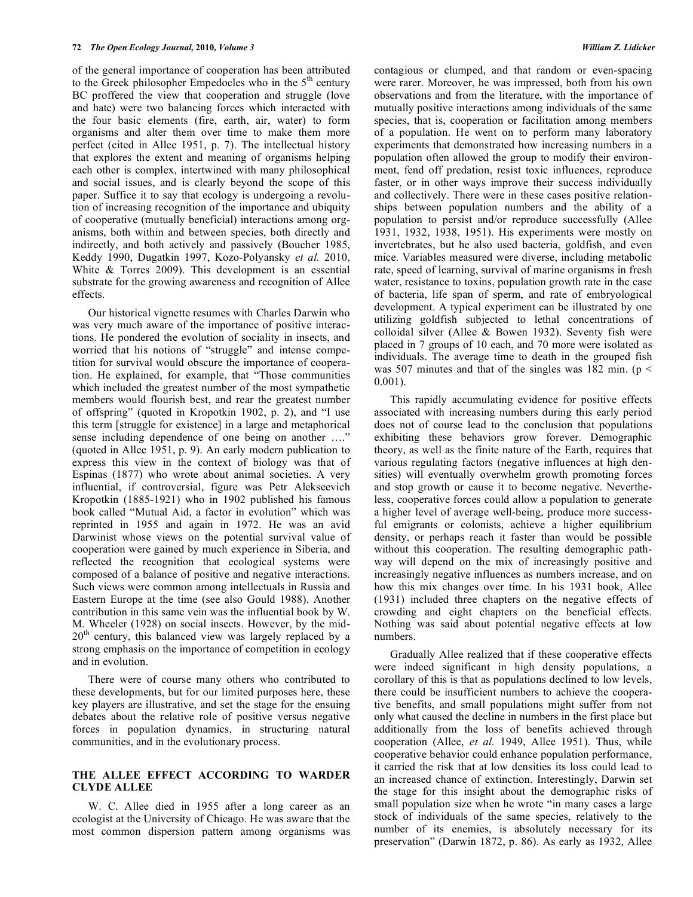of the general importance of cooperation has been attributed to the Greek philosopher Empedocles who in the  $5<sup>th</sup>$  century BC proffered the view that cooperation and struggle (love and hate) were two balancing forces which interacted with the four basic elements (fire, earth, air, water) to form organisms and alter them over time to make them more perfect (cited in Allee 1951, p. 7). The intellectual history that explores the extent and meaning of organisms helping each other is complex, intertwined with many philosophical and social issues, and is clearly beyond the scope of this paper. Suffice it to say that ecology is undergoing a revolution of increasing recognition of the importance and ubiquity of cooperative (mutually beneficial) interactions among organisms, both within and between species, both directly and indirectly, and both actively and passively (Boucher 1985, Keddy 1990, Dugatkin 1997, Kozo-Polyansky *et al.* 2010, White & Torres 2009). This development is an essential substrate for the growing awareness and recognition of Allee effects.

Our historical vignette resumes with Charles Darwin who was very much aware of the importance of positive interactions. He pondered the evolution of sociality in insects, and worried that his notions of "struggle" and intense competition for survival would obscure the importance of cooperation. He explained, for example, that "Those communities which included the greatest number of the most sympathetic members would flourish best, and rear the greatest number of offspring" (quoted in Kropotkin 1902, p. 2), and "I use this term [struggle for existence] in a large and metaphorical sense including dependence of one being on another …." (quoted in Allee 1951, p. 9). An early modern publication to express this view in the context of biology was that of Espinas (1877) who wrote about animal societies. A very influential, if controversial, figure was Petr Alekseevich Kropotkin (1885-1921) who in 1902 published his famous book called "Mutual Aid, a factor in evolution" which was reprinted in 1955 and again in 1972. He was an avid Darwinist whose views on the potential survival value of cooperation were gained by much experience in Siberia, and reflected the recognition that ecological systems were composed of a balance of positive and negative interactions. Such views were common among intellectuals in Russia and Eastern Europe at the time (see also Gould 1988). Another contribution in this same vein was the influential book by W. M. Wheeler (1928) on social insects. However, by the mid- $20<sup>th</sup>$  century, this balanced view was largely replaced by a strong emphasis on the importance of competition in ecology and in evolution.

There were of course many others who contributed to these developments, but for our limited purposes here, these key players are illustrative, and set the stage for the ensuing debates about the relative role of positive versus negative forces in population dynamics, in structuring natural communities, and in the evolutionary process.

### **THE ALLEE EFFECT ACCORDING TO WARDER CLYDE ALLEE**

W. C. Allee died in 1955 after a long career as an ecologist at the University of Chicago. He was aware that the most common dispersion pattern among organisms was contagious or clumped, and that random or even-spacing were rarer. Moreover, he was impressed, both from his own observations and from the literature, with the importance of mutually positive interactions among individuals of the same species, that is, cooperation or facilitation among members of a population. He went on to perform many laboratory experiments that demonstrated how increasing numbers in a population often allowed the group to modify their environment, fend off predation, resist toxic influences, reproduce faster, or in other ways improve their success individually and collectively. There were in these cases positive relationships between population numbers and the ability of a population to persist and/or reproduce successfully (Allee 1931, 1932, 1938, 1951). His experiments were mostly on invertebrates, but he also used bacteria, goldfish, and even mice. Variables measured were diverse, including metabolic rate, speed of learning, survival of marine organisms in fresh water, resistance to toxins, population growth rate in the case of bacteria, life span of sperm, and rate of embryological development. A typical experiment can be illustrated by one utilizing goldfish subjected to lethal concentrations of colloidal silver (Allee & Bowen 1932). Seventy fish were placed in 7 groups of 10 each, and 70 more were isolated as individuals. The average time to death in the grouped fish was 507 minutes and that of the singles was 182 min. ( $p \le$ 0.001).

This rapidly accumulating evidence for positive effects associated with increasing numbers during this early period does not of course lead to the conclusion that populations exhibiting these behaviors grow forever. Demographic theory, as well as the finite nature of the Earth, requires that various regulating factors (negative influences at high densities) will eventually overwhelm growth promoting forces and stop growth or cause it to become negative. Nevertheless, cooperative forces could allow a population to generate a higher level of average well-being, produce more successful emigrants or colonists, achieve a higher equilibrium density, or perhaps reach it faster than would be possible without this cooperation. The resulting demographic pathway will depend on the mix of increasingly positive and increasingly negative influences as numbers increase, and on how this mix changes over time. In his 1931 book, Allee (1931) included three chapters on the negative effects of crowding and eight chapters on the beneficial effects. Nothing was said about potential negative effects at low numbers.

Gradually Allee realized that if these cooperative effects were indeed significant in high density populations, a corollary of this is that as populations declined to low levels, there could be insufficient numbers to achieve the cooperative benefits, and small populations might suffer from not only what caused the decline in numbers in the first place but additionally from the loss of benefits achieved through cooperation (Allee, *et al.* 1949, Allee 1951). Thus, while cooperative behavior could enhance population performance, it carried the risk that at low densities its loss could lead to an increased chance of extinction. Interestingly, Darwin set the stage for this insight about the demographic risks of small population size when he wrote "in many cases a large stock of individuals of the same species, relatively to the number of its enemies, is absolutely necessary for its preservation" (Darwin 1872, p. 86). As early as 1932, Allee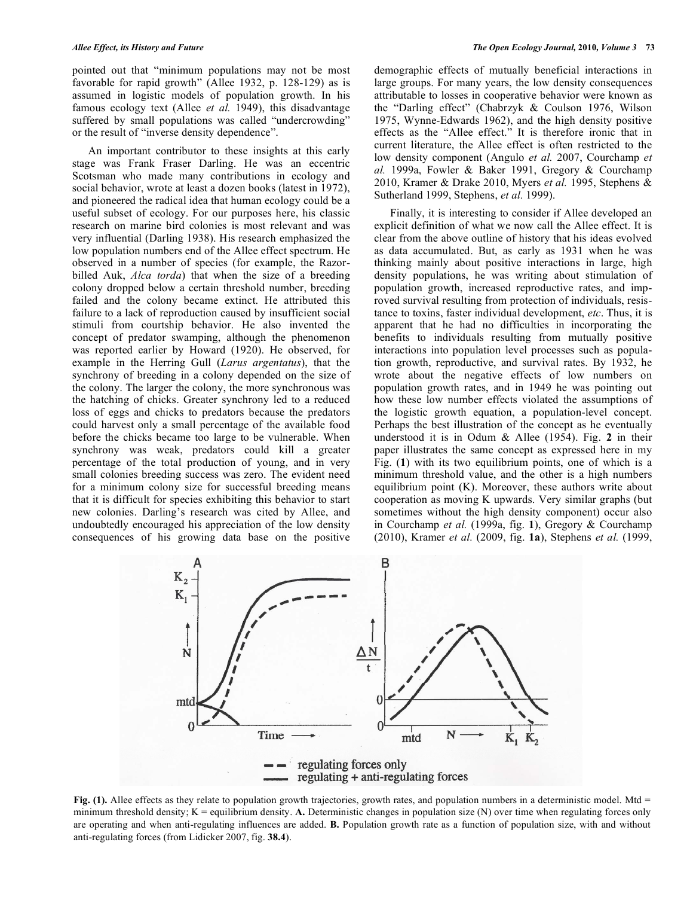pointed out that "minimum populations may not be most favorable for rapid growth" (Allee 1932, p. 128-129) as is assumed in logistic models of population growth. In his famous ecology text (Allee *et al.* 1949), this disadvantage suffered by small populations was called "undercrowding" or the result of "inverse density dependence".

An important contributor to these insights at this early stage was Frank Fraser Darling. He was an eccentric Scotsman who made many contributions in ecology and social behavior, wrote at least a dozen books (latest in 1972), and pioneered the radical idea that human ecology could be a useful subset of ecology. For our purposes here, his classic research on marine bird colonies is most relevant and was very influential (Darling 1938). His research emphasized the low population numbers end of the Allee effect spectrum. He observed in a number of species (for example, the Razorbilled Auk, *Alca torda*) that when the size of a breeding colony dropped below a certain threshold number, breeding failed and the colony became extinct. He attributed this failure to a lack of reproduction caused by insufficient social stimuli from courtship behavior. He also invented the concept of predator swamping, although the phenomenon was reported earlier by Howard (1920). He observed, for example in the Herring Gull (*Larus argentatus*), that the synchrony of breeding in a colony depended on the size of the colony. The larger the colony, the more synchronous was the hatching of chicks. Greater synchrony led to a reduced loss of eggs and chicks to predators because the predators could harvest only a small percentage of the available food before the chicks became too large to be vulnerable. When synchrony was weak, predators could kill a greater percentage of the total production of young, and in very small colonies breeding success was zero. The evident need for a minimum colony size for successful breeding means that it is difficult for species exhibiting this behavior to start new colonies. Darling's research was cited by Allee, and undoubtedly encouraged his appreciation of the low density consequences of his growing data base on the positive

demographic effects of mutually beneficial interactions in large groups. For many years, the low density consequences attributable to losses in cooperative behavior were known as the "Darling effect" (Chabrzyk & Coulson 1976, Wilson 1975, Wynne-Edwards 1962), and the high density positive effects as the "Allee effect." It is therefore ironic that in current literature, the Allee effect is often restricted to the low density component (Angulo *et al.* 2007, Courchamp *et al.* 1999a, Fowler & Baker 1991, Gregory & Courchamp 2010, Kramer & Drake 2010, Myers *et al.* 1995, Stephens & Sutherland 1999, Stephens, *et al.* 1999).

Finally, it is interesting to consider if Allee developed an explicit definition of what we now call the Allee effect. It is clear from the above outline of history that his ideas evolved as data accumulated. But, as early as 1931 when he was thinking mainly about positive interactions in large, high density populations, he was writing about stimulation of population growth, increased reproductive rates, and improved survival resulting from protection of individuals, resistance to toxins, faster individual development, *etc*. Thus, it is apparent that he had no difficulties in incorporating the benefits to individuals resulting from mutually positive interactions into population level processes such as population growth, reproductive, and survival rates. By 1932, he wrote about the negative effects of low numbers on population growth rates, and in 1949 he was pointing out how these low number effects violated the assumptions of the logistic growth equation, a population-level concept. Perhaps the best illustration of the concept as he eventually understood it is in Odum & Allee (1954). Fig. **2** in their paper illustrates the same concept as expressed here in my Fig. (**1**) with its two equilibrium points, one of which is a minimum threshold value, and the other is a high numbers equilibrium point (K). Moreover, these authors write about cooperation as moving K upwards. Very similar graphs (but sometimes without the high density component) occur also in Courchamp *et al.* (1999a, fig. **1**), Gregory & Courchamp (2010), Kramer *et al.* (2009, fig. **1a**), Stephens *et al.* (1999,



Fig. (1). Allee effects as they relate to population growth trajectories, growth rates, and population numbers in a deterministic model. Mtd = minimum threshold density; K = equilibrium density. A. Deterministic changes in population size (N) over time when regulating forces only are operating and when anti-regulating influences are added. **B.** Population growth rate as a function of population size, with and without anti-regulating forces (from Lidicker 2007, fig. **38.4**).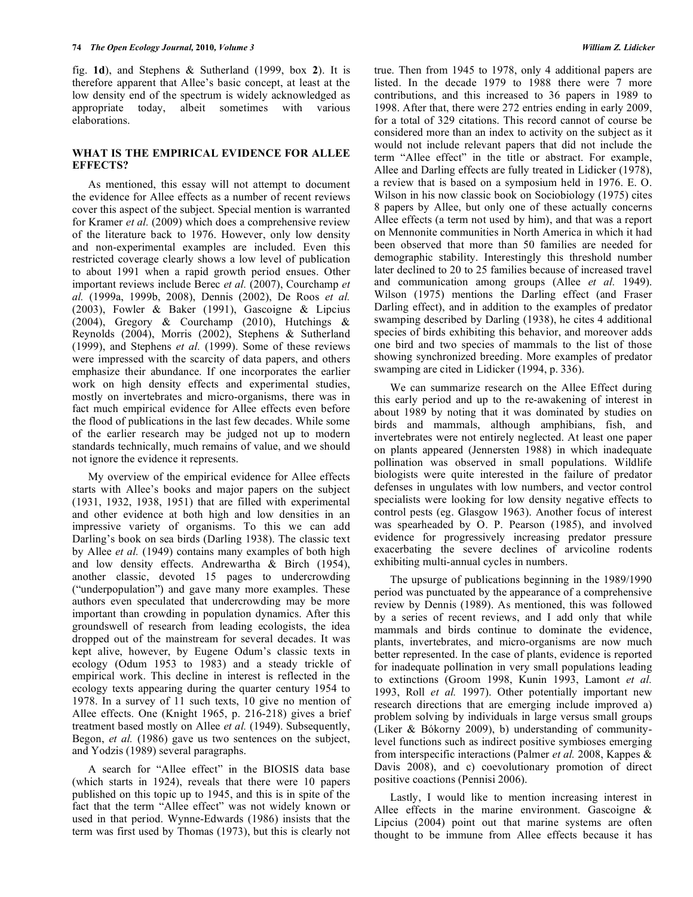fig. **1d**), and Stephens & Sutherland (1999, box **2**). It is therefore apparent that Allee's basic concept, at least at the low density end of the spectrum is widely acknowledged as appropriate today, albeit sometimes with various elaborations.

#### **WHAT IS THE EMPIRICAL EVIDENCE FOR ALLEE EFFECTS?**

As mentioned, this essay will not attempt to document the evidence for Allee effects as a number of recent reviews cover this aspect of the subject. Special mention is warranted for Kramer *et al.* (2009) which does a comprehensive review of the literature back to 1976. However, only low density and non-experimental examples are included. Even this restricted coverage clearly shows a low level of publication to about 1991 when a rapid growth period ensues. Other important reviews include Berec *et al.* (2007), Courchamp *et al.* (1999a, 1999b, 2008), Dennis (2002), De Roos *et al.* (2003), Fowler & Baker (1991), Gascoigne & Lipcius (2004), Gregory & Courchamp (2010), Hutchings & Reynolds (2004), Morris (2002), Stephens & Sutherland (1999), and Stephens *et al.* (1999). Some of these reviews were impressed with the scarcity of data papers, and others emphasize their abundance. If one incorporates the earlier work on high density effects and experimental studies, mostly on invertebrates and micro-organisms, there was in fact much empirical evidence for Allee effects even before the flood of publications in the last few decades. While some of the earlier research may be judged not up to modern standards technically, much remains of value, and we should not ignore the evidence it represents.

My overview of the empirical evidence for Allee effects starts with Allee's books and major papers on the subject (1931, 1932, 1938, 1951) that are filled with experimental and other evidence at both high and low densities in an impressive variety of organisms. To this we can add Darling's book on sea birds (Darling 1938). The classic text by Allee *et al.* (1949) contains many examples of both high and low density effects. Andrewartha & Birch (1954), another classic, devoted 15 pages to undercrowding ("underpopulation") and gave many more examples. These authors even speculated that undercrowding may be more important than crowding in population dynamics. After this groundswell of research from leading ecologists, the idea dropped out of the mainstream for several decades. It was kept alive, however, by Eugene Odum's classic texts in ecology (Odum 1953 to 1983) and a steady trickle of empirical work. This decline in interest is reflected in the ecology texts appearing during the quarter century 1954 to 1978. In a survey of 11 such texts, 10 give no mention of Allee effects. One (Knight 1965, p. 216-218) gives a brief treatment based mostly on Allee *et al.* (1949). Subsequently, Begon, *et al.* (1986) gave us two sentences on the subject, and Yodzis (1989) several paragraphs.

A search for "Allee effect" in the BIOSIS data base (which starts in 1924), reveals that there were 10 papers published on this topic up to 1945, and this is in spite of the fact that the term "Allee effect" was not widely known or used in that period. Wynne-Edwards (1986) insists that the term was first used by Thomas (1973), but this is clearly not

true. Then from 1945 to 1978, only 4 additional papers are listed. In the decade 1979 to 1988 there were 7 more contributions, and this increased to 36 papers in 1989 to 1998. After that, there were 272 entries ending in early 2009, for a total of 329 citations. This record cannot of course be considered more than an index to activity on the subject as it would not include relevant papers that did not include the term "Allee effect" in the title or abstract. For example, Allee and Darling effects are fully treated in Lidicker (1978), a review that is based on a symposium held in 1976. E. O. Wilson in his now classic book on Sociobiology (1975) cites 8 papers by Allee, but only one of these actually concerns Allee effects (a term not used by him), and that was a report on Mennonite communities in North America in which it had been observed that more than 50 families are needed for demographic stability. Interestingly this threshold number later declined to 20 to 25 families because of increased travel and communication among groups (Allee *et al.* 1949). Wilson (1975) mentions the Darling effect (and Fraser Darling effect), and in addition to the examples of predator swamping described by Darling (1938), he cites 4 additional species of birds exhibiting this behavior, and moreover adds one bird and two species of mammals to the list of those showing synchronized breeding. More examples of predator swamping are cited in Lidicker (1994, p. 336).

We can summarize research on the Allee Effect during this early period and up to the re-awakening of interest in about 1989 by noting that it was dominated by studies on birds and mammals, although amphibians, fish, and invertebrates were not entirely neglected. At least one paper on plants appeared (Jennersten 1988) in which inadequate pollination was observed in small populations. Wildlife biologists were quite interested in the failure of predator defenses in ungulates with low numbers, and vector control specialists were looking for low density negative effects to control pests (eg. Glasgow 1963). Another focus of interest was spearheaded by O. P. Pearson (1985), and involved evidence for progressively increasing predator pressure exacerbating the severe declines of arvicoline rodents exhibiting multi-annual cycles in numbers.

The upsurge of publications beginning in the 1989/1990 period was punctuated by the appearance of a comprehensive review by Dennis (1989). As mentioned, this was followed by a series of recent reviews, and I add only that while mammals and birds continue to dominate the evidence, plants, invertebrates, and micro-organisms are now much better represented. In the case of plants, evidence is reported for inadequate pollination in very small populations leading to extinctions (Groom 1998, Kunin 1993, Lamont *et al.* 1993, Roll *et al.* 1997). Other potentially important new research directions that are emerging include improved a) problem solving by individuals in large versus small groups (Liker & Bókorny 2009), b) understanding of communitylevel functions such as indirect positive symbioses emerging from interspecific interactions (Palmer *et al.* 2008, Kappes & Davis 2008), and c) coevolutionary promotion of direct positive coactions (Pennisi 2006).

Lastly, I would like to mention increasing interest in Allee effects in the marine environment. Gascoigne & Lipcius (2004) point out that marine systems are often thought to be immune from Allee effects because it has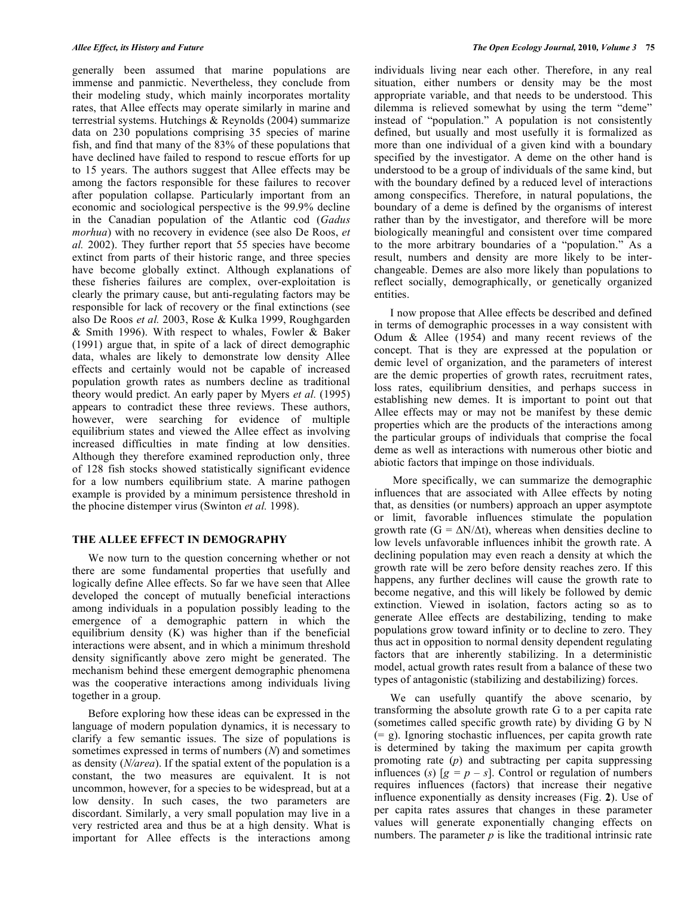generally been assumed that marine populations are immense and panmictic. Nevertheless, they conclude from their modeling study, which mainly incorporates mortality rates, that Allee effects may operate similarly in marine and terrestrial systems. Hutchings & Reynolds (2004) summarize data on 230 populations comprising 35 species of marine fish, and find that many of the 83% of these populations that have declined have failed to respond to rescue efforts for up to 15 years. The authors suggest that Allee effects may be among the factors responsible for these failures to recover after population collapse. Particularly important from an economic and sociological perspective is the 99.9% decline in the Canadian population of the Atlantic cod (*Gadus morhua*) with no recovery in evidence (see also De Roos, *et al.* 2002). They further report that 55 species have become extinct from parts of their historic range, and three species have become globally extinct. Although explanations of these fisheries failures are complex, over-exploitation is clearly the primary cause, but anti-regulating factors may be responsible for lack of recovery or the final extinctions (see also De Roos *et al.* 2003, Rose & Kulka 1999, Roughgarden & Smith 1996). With respect to whales, Fowler & Baker (1991) argue that, in spite of a lack of direct demographic data, whales are likely to demonstrate low density Allee effects and certainly would not be capable of increased population growth rates as numbers decline as traditional theory would predict. An early paper by Myers *et al.* (1995) appears to contradict these three reviews. These authors, however, were searching for evidence of multiple equilibrium states and viewed the Allee effect as involving increased difficulties in mate finding at low densities. Although they therefore examined reproduction only, three of 128 fish stocks showed statistically significant evidence for a low numbers equilibrium state. A marine pathogen example is provided by a minimum persistence threshold in the phocine distemper virus (Swinton *et al.* 1998).

#### **THE ALLEE EFFECT IN DEMOGRAPHY**

We now turn to the question concerning whether or not there are some fundamental properties that usefully and logically define Allee effects. So far we have seen that Allee developed the concept of mutually beneficial interactions among individuals in a population possibly leading to the emergence of a demographic pattern in which the equilibrium density (K) was higher than if the beneficial interactions were absent, and in which a minimum threshold density significantly above zero might be generated. The mechanism behind these emergent demographic phenomena was the cooperative interactions among individuals living together in a group.

Before exploring how these ideas can be expressed in the language of modern population dynamics, it is necessary to clarify a few semantic issues. The size of populations is sometimes expressed in terms of numbers (*N*) and sometimes as density (*N/area*). If the spatial extent of the population is a constant, the two measures are equivalent. It is not uncommon, however, for a species to be widespread, but at a low density. In such cases, the two parameters are discordant. Similarly, a very small population may live in a very restricted area and thus be at a high density. What is important for Allee effects is the interactions among

individuals living near each other. Therefore, in any real situation, either numbers or density may be the most appropriate variable, and that needs to be understood. This dilemma is relieved somewhat by using the term "deme" instead of "population." A population is not consistently defined, but usually and most usefully it is formalized as more than one individual of a given kind with a boundary specified by the investigator. A deme on the other hand is understood to be a group of individuals of the same kind, but with the boundary defined by a reduced level of interactions among conspecifics. Therefore, in natural populations, the boundary of a deme is defined by the organisms of interest rather than by the investigator, and therefore will be more biologically meaningful and consistent over time compared to the more arbitrary boundaries of a "population." As a result, numbers and density are more likely to be interchangeable. Demes are also more likely than populations to reflect socially, demographically, or genetically organized entities.

I now propose that Allee effects be described and defined in terms of demographic processes in a way consistent with Odum & Allee (1954) and many recent reviews of the concept. That is they are expressed at the population or demic level of organization, and the parameters of interest are the demic properties of growth rates, recruitment rates, loss rates, equilibrium densities, and perhaps success in establishing new demes. It is important to point out that Allee effects may or may not be manifest by these demic properties which are the products of the interactions among the particular groups of individuals that comprise the focal deme as well as interactions with numerous other biotic and abiotic factors that impinge on those individuals.

More specifically, we can summarize the demographic influences that are associated with Allee effects by noting that, as densities (or numbers) approach an upper asymptote or limit, favorable influences stimulate the population growth rate ( $G = \Delta N/\Delta t$ ), whereas when densities decline to low levels unfavorable influences inhibit the growth rate. A declining population may even reach a density at which the growth rate will be zero before density reaches zero. If this happens, any further declines will cause the growth rate to become negative, and this will likely be followed by demic extinction. Viewed in isolation, factors acting so as to generate Allee effects are destabilizing, tending to make populations grow toward infinity or to decline to zero. They thus act in opposition to normal density dependent regulating factors that are inherently stabilizing. In a deterministic model, actual growth rates result from a balance of these two types of antagonistic (stabilizing and destabilizing) forces.

We can usefully quantify the above scenario, by transforming the absolute growth rate G to a per capita rate (sometimes called specific growth rate) by dividing G by N  $(= g)$ . Ignoring stochastic influences, per capita growth rate is determined by taking the maximum per capita growth promoting rate (*p*) and subtracting per capita suppressing influences (*s*)  $[g = p - s]$ . Control or regulation of numbers requires influences (factors) that increase their negative influence exponentially as density increases (Fig. **2**). Use of per capita rates assures that changes in these parameter values will generate exponentially changing effects on numbers. The parameter  $p$  is like the traditional intrinsic rate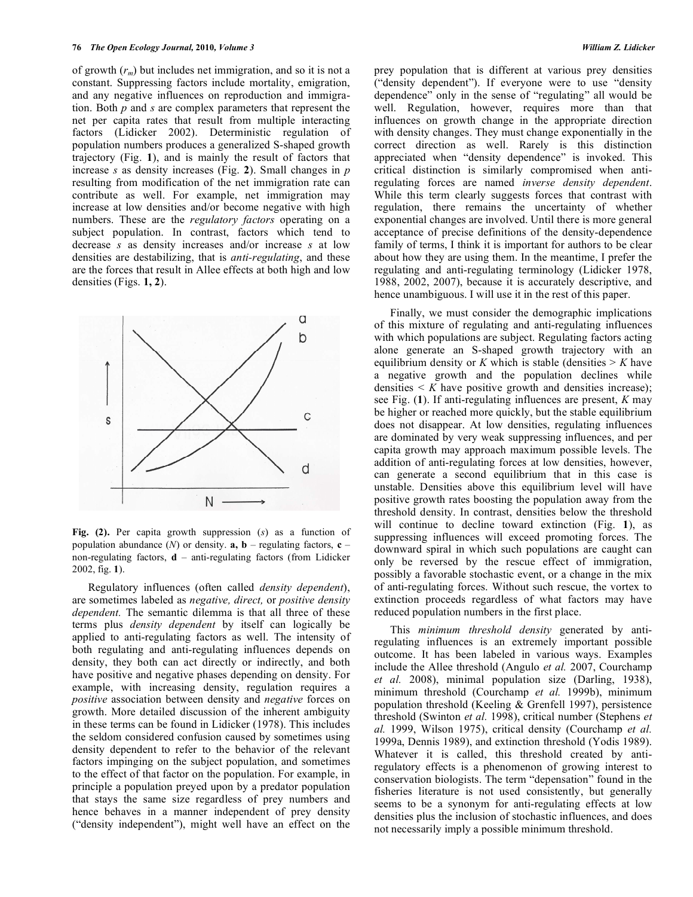of growth (*rm*) but includes net immigration, and so it is not a constant. Suppressing factors include mortality, emigration, and any negative influences on reproduction and immigration. Both *p* and *s* are complex parameters that represent the net per capita rates that result from multiple interacting factors (Lidicker 2002). Deterministic regulation of population numbers produces a generalized S-shaped growth trajectory (Fig. **1**), and is mainly the result of factors that increase *s* as density increases (Fig. **2**). Small changes in *p* resulting from modification of the net immigration rate can contribute as well. For example, net immigration may increase at low densities and/or become negative with high numbers. These are the *regulatory factors* operating on a subject population. In contrast, factors which tend to decrease *s* as density increases and/or increase *s* at low densities are destabilizing, that is *anti-regulating*, and these are the forces that result in Allee effects at both high and low densities (Figs. **1, 2**).



**Fig. (2).** Per capita growth suppression (*s*) as a function of population abundance  $(N)$  or density, **a, b** – regulating factors, **c** – non-regulating factors, **d** – anti-regulating factors (from Lidicker 2002, fig. **1**).

Regulatory influences (often called *density dependent*), are sometimes labeled as *negative, direct,* or *positive density dependent.* The semantic dilemma is that all three of these terms plus *density dependent* by itself can logically be applied to anti-regulating factors as well. The intensity of both regulating and anti-regulating influences depends on density, they both can act directly or indirectly, and both have positive and negative phases depending on density. For example, with increasing density, regulation requires a *positive* association between density and *negative* forces on growth. More detailed discussion of the inherent ambiguity in these terms can be found in Lidicker (1978). This includes the seldom considered confusion caused by sometimes using density dependent to refer to the behavior of the relevant factors impinging on the subject population, and sometimes to the effect of that factor on the population. For example, in principle a population preyed upon by a predator population that stays the same size regardless of prey numbers and hence behaves in a manner independent of prey density ("density independent"), might well have an effect on the

prey population that is different at various prey densities ("density dependent"). If everyone were to use "density dependence" only in the sense of "regulating" all would be well. Regulation, however, requires more than that influences on growth change in the appropriate direction with density changes. They must change exponentially in the correct direction as well. Rarely is this distinction appreciated when "density dependence" is invoked. This critical distinction is similarly compromised when antiregulating forces are named *inverse density dependent*. While this term clearly suggests forces that contrast with regulation, there remains the uncertainty of whether exponential changes are involved. Until there is more general acceptance of precise definitions of the density-dependence family of terms. I think it is important for authors to be clear about how they are using them. In the meantime, I prefer the regulating and anti-regulating terminology (Lidicker 1978, 1988, 2002, 2007), because it is accurately descriptive, and hence unambiguous. I will use it in the rest of this paper.

Finally, we must consider the demographic implications of this mixture of regulating and anti-regulating influences with which populations are subject. Regulating factors acting alone generate an S-shaped growth trajectory with an equilibrium density or  $K$  which is stable (densities  $> K$  have a negative growth and the population declines while densities  $\leq K$  have positive growth and densities increase); see Fig. (**1**). If anti-regulating influences are present, *K* may be higher or reached more quickly, but the stable equilibrium does not disappear. At low densities, regulating influences are dominated by very weak suppressing influences, and per capita growth may approach maximum possible levels. The addition of anti-regulating forces at low densities, however, can generate a second equilibrium that in this case is unstable. Densities above this equilibrium level will have positive growth rates boosting the population away from the threshold density. In contrast, densities below the threshold will continue to decline toward extinction (Fig. **1**), as suppressing influences will exceed promoting forces. The downward spiral in which such populations are caught can only be reversed by the rescue effect of immigration, possibly a favorable stochastic event, or a change in the mix of anti-regulating forces. Without such rescue, the vortex to extinction proceeds regardless of what factors may have reduced population numbers in the first place.

This *minimum threshold density* generated by antiregulating influences is an extremely important possible outcome. It has been labeled in various ways. Examples include the Allee threshold (Angulo *et al.* 2007, Courchamp *et al.* 2008), minimal population size (Darling, 1938), minimum threshold (Courchamp *et al.* 1999b), minimum population threshold (Keeling & Grenfell 1997), persistence threshold (Swinton *et al.* 1998), critical number (Stephens *et al.* 1999, Wilson 1975), critical density (Courchamp *et al.*  1999a, Dennis 1989), and extinction threshold (Yodis 1989). Whatever it is called, this threshold created by antiregulatory effects is a phenomenon of growing interest to conservation biologists. The term "depensation" found in the fisheries literature is not used consistently, but generally seems to be a synonym for anti-regulating effects at low densities plus the inclusion of stochastic influences, and does not necessarily imply a possible minimum threshold.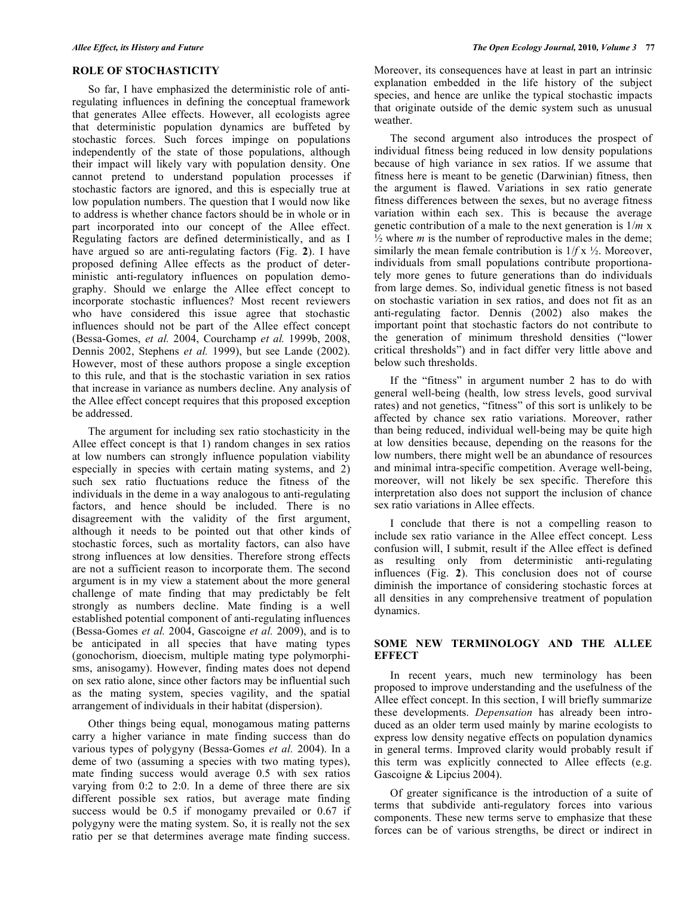#### **ROLE OF STOCHASTICITY**

So far, I have emphasized the deterministic role of antiregulating influences in defining the conceptual framework that generates Allee effects. However, all ecologists agree that deterministic population dynamics are buffeted by stochastic forces. Such forces impinge on populations independently of the state of those populations, although their impact will likely vary with population density. One cannot pretend to understand population processes if stochastic factors are ignored, and this is especially true at low population numbers. The question that I would now like to address is whether chance factors should be in whole or in part incorporated into our concept of the Allee effect. Regulating factors are defined deterministically, and as I have argued so are anti-regulating factors (Fig. **2**). I have proposed defining Allee effects as the product of deterministic anti-regulatory influences on population demography. Should we enlarge the Allee effect concept to incorporate stochastic influences? Most recent reviewers who have considered this issue agree that stochastic influences should not be part of the Allee effect concept (Bessa-Gomes, *et al.* 2004, Courchamp *et al.* 1999b, 2008, Dennis 2002, Stephens *et al.* 1999), but see Lande (2002). However, most of these authors propose a single exception to this rule, and that is the stochastic variation in sex ratios that increase in variance as numbers decline. Any analysis of the Allee effect concept requires that this proposed exception be addressed.

The argument for including sex ratio stochasticity in the Allee effect concept is that 1) random changes in sex ratios at low numbers can strongly influence population viability especially in species with certain mating systems, and 2) such sex ratio fluctuations reduce the fitness of the individuals in the deme in a way analogous to anti-regulating factors, and hence should be included. There is no disagreement with the validity of the first argument, although it needs to be pointed out that other kinds of stochastic forces, such as mortality factors, can also have strong influences at low densities. Therefore strong effects are not a sufficient reason to incorporate them. The second argument is in my view a statement about the more general challenge of mate finding that may predictably be felt strongly as numbers decline. Mate finding is a well established potential component of anti-regulating influences (Bessa-Gomes *et al.* 2004, Gascoigne *et al.* 2009), and is to be anticipated in all species that have mating types (gonochorism, dioecism, multiple mating type polymorphisms, anisogamy). However, finding mates does not depend on sex ratio alone, since other factors may be influential such as the mating system, species vagility, and the spatial arrangement of individuals in their habitat (dispersion).

Other things being equal, monogamous mating patterns carry a higher variance in mate finding success than do various types of polygyny (Bessa-Gomes *et al.* 2004). In a deme of two (assuming a species with two mating types), mate finding success would average 0.5 with sex ratios varying from 0:2 to 2:0. In a deme of three there are six different possible sex ratios, but average mate finding success would be 0.5 if monogamy prevailed or 0.67 if polygyny were the mating system. So, it is really not the sex ratio per se that determines average mate finding success.

Moreover, its consequences have at least in part an intrinsic explanation embedded in the life history of the subject species, and hence are unlike the typical stochastic impacts that originate outside of the demic system such as unusual weather.

The second argument also introduces the prospect of individual fitness being reduced in low density populations because of high variance in sex ratios. If we assume that fitness here is meant to be genetic (Darwinian) fitness, then the argument is flawed. Variations in sex ratio generate fitness differences between the sexes, but no average fitness variation within each sex. This is because the average genetic contribution of a male to the next generation is 1/*m* x  $\frac{1}{2}$  where *m* is the number of reproductive males in the deme; similarly the mean female contribution is  $1/f x \frac{1}{2}$ . Moreover, individuals from small populations contribute proportionately more genes to future generations than do individuals from large demes. So, individual genetic fitness is not based on stochastic variation in sex ratios, and does not fit as an anti-regulating factor. Dennis (2002) also makes the important point that stochastic factors do not contribute to the generation of minimum threshold densities ("lower critical thresholds") and in fact differ very little above and below such thresholds.

If the "fitness" in argument number 2 has to do with general well-being (health, low stress levels, good survival rates) and not genetics, "fitness" of this sort is unlikely to be affected by chance sex ratio variations. Moreover, rather than being reduced, individual well-being may be quite high at low densities because, depending on the reasons for the low numbers, there might well be an abundance of resources and minimal intra-specific competition. Average well-being, moreover, will not likely be sex specific. Therefore this interpretation also does not support the inclusion of chance sex ratio variations in Allee effects.

I conclude that there is not a compelling reason to include sex ratio variance in the Allee effect concept. Less confusion will, I submit, result if the Allee effect is defined as resulting only from deterministic anti-regulating influences (Fig. **2**). This conclusion does not of course diminish the importance of considering stochastic forces at all densities in any comprehensive treatment of population dynamics.

# **SOME NEW TERMINOLOGY AND THE ALLEE EFFECT**

In recent years, much new terminology has been proposed to improve understanding and the usefulness of the Allee effect concept. In this section, I will briefly summarize these developments. *Depensation* has already been introduced as an older term used mainly by marine ecologists to express low density negative effects on population dynamics in general terms. Improved clarity would probably result if this term was explicitly connected to Allee effects (e.g. Gascoigne & Lipcius 2004).

Of greater significance is the introduction of a suite of terms that subdivide anti-regulatory forces into various components. These new terms serve to emphasize that these forces can be of various strengths, be direct or indirect in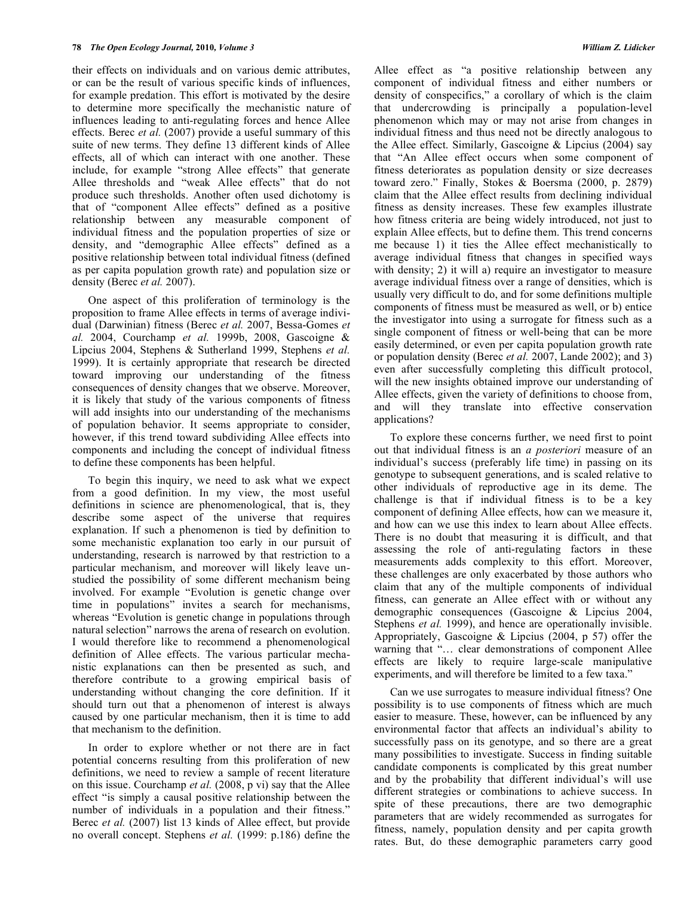their effects on individuals and on various demic attributes, or can be the result of various specific kinds of influences, for example predation. This effort is motivated by the desire to determine more specifically the mechanistic nature of influences leading to anti-regulating forces and hence Allee effects. Berec *et al.* (2007) provide a useful summary of this suite of new terms. They define 13 different kinds of Allee effects, all of which can interact with one another. These include, for example "strong Allee effects" that generate Allee thresholds and "weak Allee effects" that do not produce such thresholds. Another often used dichotomy is that of "component Allee effects" defined as a positive relationship between any measurable component of individual fitness and the population properties of size or density, and "demographic Allee effects" defined as a positive relationship between total individual fitness (defined as per capita population growth rate) and population size or density (Berec *et al.* 2007).

One aspect of this proliferation of terminology is the proposition to frame Allee effects in terms of average individual (Darwinian) fitness (Berec *et al.* 2007, Bessa-Gomes *et al.* 2004, Courchamp *et al.* 1999b, 2008, Gascoigne & Lipcius 2004, Stephens & Sutherland 1999, Stephens *et al.* 1999). It is certainly appropriate that research be directed toward improving our understanding of the fitness consequences of density changes that we observe. Moreover, it is likely that study of the various components of fitness will add insights into our understanding of the mechanisms of population behavior. It seems appropriate to consider, however, if this trend toward subdividing Allee effects into components and including the concept of individual fitness to define these components has been helpful.

To begin this inquiry, we need to ask what we expect from a good definition. In my view, the most useful definitions in science are phenomenological, that is, they describe some aspect of the universe that requires explanation. If such a phenomenon is tied by definition to some mechanistic explanation too early in our pursuit of understanding, research is narrowed by that restriction to a particular mechanism, and moreover will likely leave unstudied the possibility of some different mechanism being involved. For example "Evolution is genetic change over time in populations" invites a search for mechanisms, whereas "Evolution is genetic change in populations through natural selection" narrows the arena of research on evolution. I would therefore like to recommend a phenomenological definition of Allee effects. The various particular mechanistic explanations can then be presented as such, and therefore contribute to a growing empirical basis of understanding without changing the core definition. If it should turn out that a phenomenon of interest is always caused by one particular mechanism, then it is time to add that mechanism to the definition.

In order to explore whether or not there are in fact potential concerns resulting from this proliferation of new definitions, we need to review a sample of recent literature on this issue. Courchamp *et al.* (2008, p vi) say that the Allee effect "is simply a causal positive relationship between the number of individuals in a population and their fitness." Berec *et al.* (2007) list 13 kinds of Allee effect, but provide no overall concept. Stephens *et al.* (1999: p.186) define the

Allee effect as "a positive relationship between any component of individual fitness and either numbers or density of conspecifics," a corollary of which is the claim that undercrowding is principally a population-level phenomenon which may or may not arise from changes in individual fitness and thus need not be directly analogous to the Allee effect. Similarly, Gascoigne & Lipcius (2004) say that "An Allee effect occurs when some component of fitness deteriorates as population density or size decreases toward zero." Finally, Stokes & Boersma (2000, p. 2879) claim that the Allee effect results from declining individual fitness as density increases. These few examples illustrate how fitness criteria are being widely introduced, not just to explain Allee effects, but to define them. This trend concerns me because 1) it ties the Allee effect mechanistically to average individual fitness that changes in specified ways with density; 2) it will a) require an investigator to measure average individual fitness over a range of densities, which is usually very difficult to do, and for some definitions multiple components of fitness must be measured as well, or b) entice the investigator into using a surrogate for fitness such as a single component of fitness or well-being that can be more easily determined, or even per capita population growth rate or population density (Berec *et al.* 2007, Lande 2002); and 3) even after successfully completing this difficult protocol, will the new insights obtained improve our understanding of Allee effects, given the variety of definitions to choose from, and will they translate into effective conservation applications?

To explore these concerns further, we need first to point out that individual fitness is an *a posteriori* measure of an individual's success (preferably life time) in passing on its genotype to subsequent generations, and is scaled relative to other individuals of reproductive age in its deme. The challenge is that if individual fitness is to be a key component of defining Allee effects, how can we measure it, and how can we use this index to learn about Allee effects. There is no doubt that measuring it is difficult, and that assessing the role of anti-regulating factors in these measurements adds complexity to this effort. Moreover, these challenges are only exacerbated by those authors who claim that any of the multiple components of individual fitness, can generate an Allee effect with or without any demographic consequences (Gascoigne & Lipcius 2004, Stephens *et al.* 1999), and hence are operationally invisible. Appropriately, Gascoigne & Lipcius (2004, p 57) offer the warning that "… clear demonstrations of component Allee effects are likely to require large-scale manipulative experiments, and will therefore be limited to a few taxa."

Can we use surrogates to measure individual fitness? One possibility is to use components of fitness which are much easier to measure. These, however, can be influenced by any environmental factor that affects an individual's ability to successfully pass on its genotype, and so there are a great many possibilities to investigate. Success in finding suitable candidate components is complicated by this great number and by the probability that different individual's will use different strategies or combinations to achieve success. In spite of these precautions, there are two demographic parameters that are widely recommended as surrogates for fitness, namely, population density and per capita growth rates. But, do these demographic parameters carry good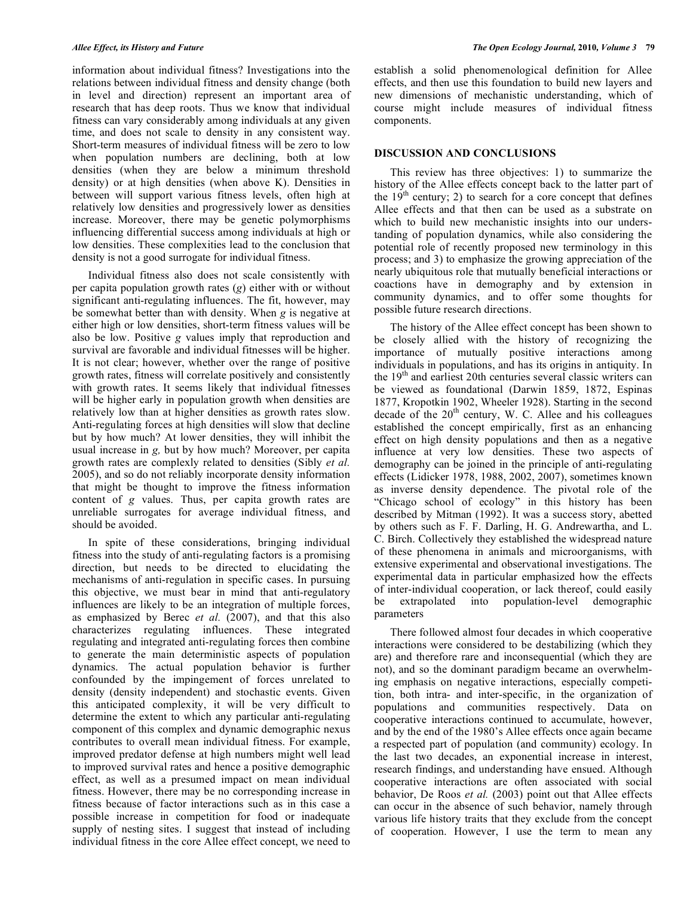information about individual fitness? Investigations into the relations between individual fitness and density change (both in level and direction) represent an important area of research that has deep roots. Thus we know that individual fitness can vary considerably among individuals at any given time, and does not scale to density in any consistent way. Short-term measures of individual fitness will be zero to low when population numbers are declining, both at low densities (when they are below a minimum threshold density) or at high densities (when above K). Densities in between will support various fitness levels, often high at relatively low densities and progressively lower as densities increase. Moreover, there may be genetic polymorphisms influencing differential success among individuals at high or low densities. These complexities lead to the conclusion that density is not a good surrogate for individual fitness.

Individual fitness also does not scale consistently with per capita population growth rates (*g*) either with or without significant anti-regulating influences. The fit, however, may be somewhat better than with density. When *g* is negative at either high or low densities, short-term fitness values will be also be low. Positive *g* values imply that reproduction and survival are favorable and individual fitnesses will be higher. It is not clear; however, whether over the range of positive growth rates, fitness will correlate positively and consistently with growth rates. It seems likely that individual fitnesses will be higher early in population growth when densities are relatively low than at higher densities as growth rates slow. Anti-regulating forces at high densities will slow that decline but by how much? At lower densities, they will inhibit the usual increase in *g,* but by how much? Moreover, per capita growth rates are complexly related to densities (Sibly *et al.* 2005), and so do not reliably incorporate density information that might be thought to improve the fitness information content of *g* values. Thus, per capita growth rates are unreliable surrogates for average individual fitness, and should be avoided.

In spite of these considerations, bringing individual fitness into the study of anti-regulating factors is a promising direction, but needs to be directed to elucidating the mechanisms of anti-regulation in specific cases. In pursuing this objective, we must bear in mind that anti-regulatory influences are likely to be an integration of multiple forces, as emphasized by Berec *et al.* (2007), and that this also characterizes regulating influences. These integrated regulating and integrated anti-regulating forces then combine to generate the main deterministic aspects of population dynamics. The actual population behavior is further confounded by the impingement of forces unrelated to density (density independent) and stochastic events. Given this anticipated complexity, it will be very difficult to determine the extent to which any particular anti-regulating component of this complex and dynamic demographic nexus contributes to overall mean individual fitness. For example, improved predator defense at high numbers might well lead to improved survival rates and hence a positive demographic effect, as well as a presumed impact on mean individual fitness. However, there may be no corresponding increase in fitness because of factor interactions such as in this case a possible increase in competition for food or inadequate supply of nesting sites. I suggest that instead of including individual fitness in the core Allee effect concept, we need to

establish a solid phenomenological definition for Allee effects, and then use this foundation to build new layers and new dimensions of mechanistic understanding, which of course might include measures of individual fitness components.

#### **DISCUSSION AND CONCLUSIONS**

This review has three objectives: 1) to summarize the history of the Allee effects concept back to the latter part of the  $19<sup>th</sup>$  century; 2) to search for a core concept that defines Allee effects and that then can be used as a substrate on which to build new mechanistic insights into our understanding of population dynamics, while also considering the potential role of recently proposed new terminology in this process; and 3) to emphasize the growing appreciation of the nearly ubiquitous role that mutually beneficial interactions or coactions have in demography and by extension in community dynamics, and to offer some thoughts for possible future research directions.

The history of the Allee effect concept has been shown to be closely allied with the history of recognizing the importance of mutually positive interactions among individuals in populations, and has its origins in antiquity. In the  $19<sup>th</sup>$  and earliest 20th centuries several classic writers can be viewed as foundational (Darwin 1859, 1872, Espinas 1877, Kropotkin 1902, Wheeler 1928). Starting in the second decade of the  $20<sup>th</sup>$  century, W. C. Allee and his colleagues established the concept empirically, first as an enhancing effect on high density populations and then as a negative influence at very low densities. These two aspects of demography can be joined in the principle of anti-regulating effects (Lidicker 1978, 1988, 2002, 2007), sometimes known as inverse density dependence. The pivotal role of the "Chicago school of ecology" in this history has been described by Mitman (1992). It was a success story, abetted by others such as F. F. Darling, H. G. Andrewartha, and L. C. Birch. Collectively they established the widespread nature of these phenomena in animals and microorganisms, with extensive experimental and observational investigations. The experimental data in particular emphasized how the effects of inter-individual cooperation, or lack thereof, could easily be extrapolated into population-level demographic parameters

There followed almost four decades in which cooperative interactions were considered to be destabilizing (which they are) and therefore rare and inconsequential (which they are not), and so the dominant paradigm became an overwhelming emphasis on negative interactions, especially competition, both intra- and inter-specific, in the organization of populations and communities respectively. Data on cooperative interactions continued to accumulate, however, and by the end of the 1980's Allee effects once again became a respected part of population (and community) ecology. In the last two decades, an exponential increase in interest, research findings, and understanding have ensued. Although cooperative interactions are often associated with social behavior, De Roos *et al.* (2003) point out that Allee effects can occur in the absence of such behavior, namely through various life history traits that they exclude from the concept of cooperation. However, I use the term to mean any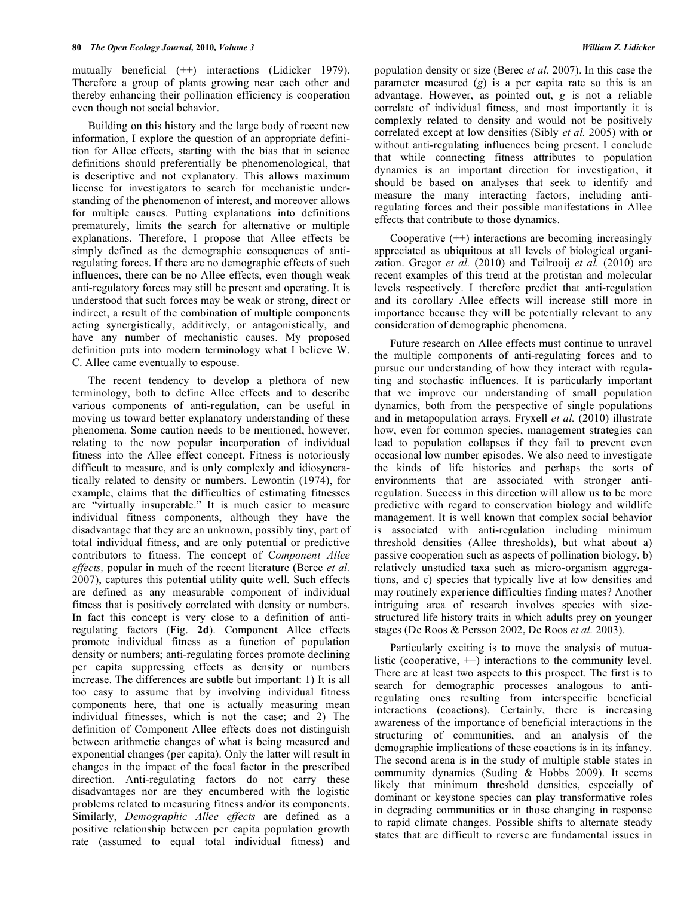mutually beneficial (++) interactions (Lidicker 1979). Therefore a group of plants growing near each other and thereby enhancing their pollination efficiency is cooperation even though not social behavior.

Building on this history and the large body of recent new information, I explore the question of an appropriate definition for Allee effects, starting with the bias that in science definitions should preferentially be phenomenological, that is descriptive and not explanatory. This allows maximum license for investigators to search for mechanistic understanding of the phenomenon of interest, and moreover allows for multiple causes. Putting explanations into definitions prematurely, limits the search for alternative or multiple explanations. Therefore, I propose that Allee effects be simply defined as the demographic consequences of antiregulating forces. If there are no demographic effects of such influences, there can be no Allee effects, even though weak anti-regulatory forces may still be present and operating. It is understood that such forces may be weak or strong, direct or indirect, a result of the combination of multiple components acting synergistically, additively, or antagonistically, and have any number of mechanistic causes. My proposed definition puts into modern terminology what I believe W. C. Allee came eventually to espouse.

The recent tendency to develop a plethora of new terminology, both to define Allee effects and to describe various components of anti-regulation, can be useful in moving us toward better explanatory understanding of these phenomena. Some caution needs to be mentioned, however, relating to the now popular incorporation of individual fitness into the Allee effect concept. Fitness is notoriously difficult to measure, and is only complexly and idiosyncratically related to density or numbers. Lewontin (1974), for example, claims that the difficulties of estimating fitnesses are "virtually insuperable." It is much easier to measure individual fitness components, although they have the disadvantage that they are an unknown, possibly tiny, part of total individual fitness, and are only potential or predictive contributors to fitness. The concept of C*omponent Allee effects,* popular in much of the recent literature (Berec *et al.* 2007), captures this potential utility quite well. Such effects are defined as any measurable component of individual fitness that is positively correlated with density or numbers. In fact this concept is very close to a definition of antiregulating factors (Fig. **2d**). Component Allee effects promote individual fitness as a function of population density or numbers; anti-regulating forces promote declining per capita suppressing effects as density or numbers increase. The differences are subtle but important: 1) It is all too easy to assume that by involving individual fitness components here, that one is actually measuring mean individual fitnesses, which is not the case; and 2) The definition of Component Allee effects does not distinguish between arithmetic changes of what is being measured and exponential changes (per capita). Only the latter will result in changes in the impact of the focal factor in the prescribed direction. Anti-regulating factors do not carry these disadvantages nor are they encumbered with the logistic problems related to measuring fitness and/or its components. Similarly, *Demographic Allee effects* are defined as a positive relationship between per capita population growth rate (assumed to equal total individual fitness) and

population density or size (Berec *et al.* 2007). In this case the parameter measured (*g*) is a per capita rate so this is an advantage. However, as pointed out, *g* is not a reliable correlate of individual fitness, and most importantly it is complexly related to density and would not be positively correlated except at low densities (Sibly *et al.* 2005) with or without anti-regulating influences being present. I conclude that while connecting fitness attributes to population dynamics is an important direction for investigation, it should be based on analyses that seek to identify and measure the many interacting factors, including antiregulating forces and their possible manifestations in Allee effects that contribute to those dynamics.

Cooperative  $(++)$  interactions are becoming increasingly appreciated as ubiquitous at all levels of biological organization. Gregor *et al.* (2010) and Teilrooij *et al.* (2010) are recent examples of this trend at the protistan and molecular levels respectively. I therefore predict that anti-regulation and its corollary Allee effects will increase still more in importance because they will be potentially relevant to any consideration of demographic phenomena.

Future research on Allee effects must continue to unravel the multiple components of anti-regulating forces and to pursue our understanding of how they interact with regulating and stochastic influences. It is particularly important that we improve our understanding of small population dynamics, both from the perspective of single populations and in metapopulation arrays. Fryxell *et al.* (2010) illustrate how, even for common species, management strategies can lead to population collapses if they fail to prevent even occasional low number episodes. We also need to investigate the kinds of life histories and perhaps the sorts of environments that are associated with stronger antiregulation. Success in this direction will allow us to be more predictive with regard to conservation biology and wildlife management. It is well known that complex social behavior is associated with anti-regulation including minimum threshold densities (Allee thresholds), but what about a) passive cooperation such as aspects of pollination biology, b) relatively unstudied taxa such as micro-organism aggregations, and c) species that typically live at low densities and may routinely experience difficulties finding mates? Another intriguing area of research involves species with sizestructured life history traits in which adults prey on younger stages (De Roos & Persson 2002, De Roos *et al.* 2003).

Particularly exciting is to move the analysis of mutualistic (cooperative, ++) interactions to the community level. There are at least two aspects to this prospect. The first is to search for demographic processes analogous to antiregulating ones resulting from interspecific beneficial interactions (coactions). Certainly, there is increasing awareness of the importance of beneficial interactions in the structuring of communities, and an analysis of the demographic implications of these coactions is in its infancy. The second arena is in the study of multiple stable states in community dynamics (Suding & Hobbs 2009). It seems likely that minimum threshold densities, especially of dominant or keystone species can play transformative roles in degrading communities or in those changing in response to rapid climate changes. Possible shifts to alternate steady states that are difficult to reverse are fundamental issues in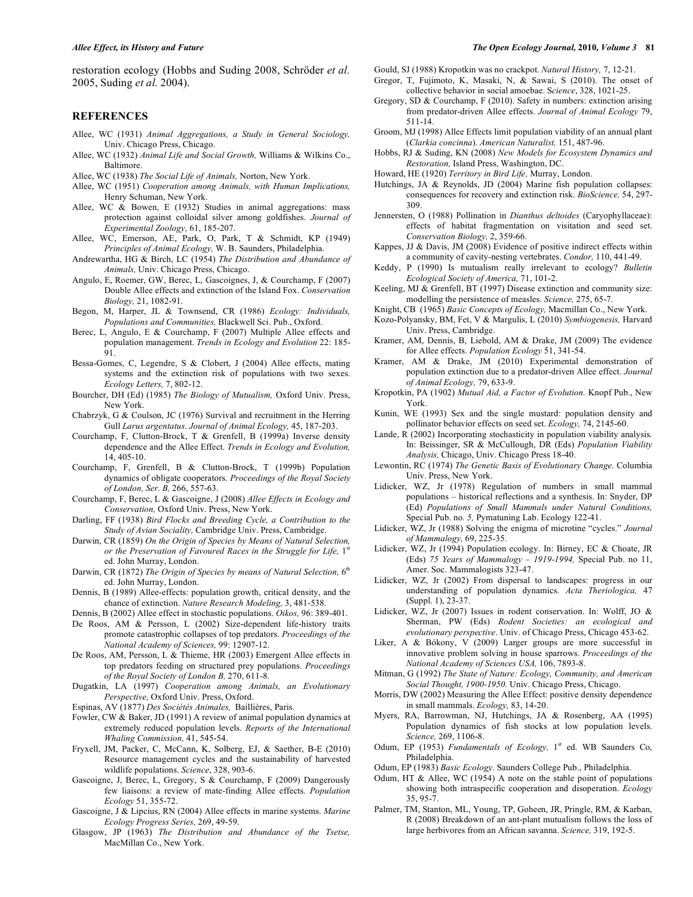restoration ecology (Hobbs and Suding 2008, Schröder *et al.* 2005, Suding *et al.* 2004).

#### **REFERENCES**

- Allee, WC (1931) *Animal Aggregations, a Study in General Sociology,* Univ. Chicago Press, Chicago.
- Allee, WC (1932) *Animal Life and Social Growth,* Williams & Wilkins Co., Baltimore.
- Allee, WC (1938) *The Social Life of Animals,* Norton, New York.
- Allee, WC (1951) *Cooperation among Animals, with Human Implications,* Henry Schuman, New York.
- Allee, WC & Bowen, E (1932) Studies in animal aggregations: mass protection against colloidal silver among goldfishes. *Journal of Experimental Zoology,* 61, 185-207.
- Allee, WC, Emerson, AE, Park, O, Park, T & Schmidt, KP (1949) *Principles of Animal Ecology,* W. B. Saunders, Philadelphia.
- Andrewartha, HG & Birch, LC (1954) *The Distribution and Abundance of Animals,* Univ. Chicago Press, Chicago.
- Angulo, E, Roemer, GW, Berec, L, Gascoignes, J, & Courchamp, F (2007) Double Allee effects and extinction of the Island Fox. *Conservation Biology,* 21, 1082-91.
- Begon, M, Harper, JL & Townsend, CR (1986) *Ecology: Individuals, Populations and Communities,* Blackwell Sci. Pub., Oxford.
- Berec, L, Angulo, E & Courchamp, F (2007) Multiple Allee effects and population management. *Trends in Ecology and Evolution* 22: 185- 91.
- Bessa-Gomes, C, Legendre, S & Clobert, J (2004) Allee effects, mating systems and the extinction risk of populations with two sexes. *Ecology Letters,* 7, 802-12.
- Bourcher, DH (Ed) (1985) *The Biology of Mutualism,* Oxford Univ. Press, New York.
- Chabrzyk, G & Coulson, JC (1976) Survival and recruitment in the Herring Gull *Larus argentatus*. *Journal of Animal Ecology,* 45, 187-203.
- Courchamp, F, Clutton-Brock, T & Grenfell, B (1999a) Inverse density dependence and the Allee Effect. *Trends in Ecology and Evolution,* 14, 405-10.
- Courchamp, F, Grenfell, B & Clutton-Brock, T (1999b) Population dynamics of obligate cooperators. *Proceedings of the Royal Society of London, Ser. B,* 266, 557-63.
- Courchamp, F, Berec, L & Gascoigne, J (2008) *Allee Effects in Ecology and Conservation,* Oxford Univ. Press, New York.
- Darling, FF (1938) *Bird Flocks and Breeding Cycle, a Contribution to the Study of Avian Sociality,* Cambridge Univ. Press, Cambridge.
- Darwin, CR (1859) *On the Origin of Species by Means of Natural Selection, or the Preservation of Favoured Races in the Struggle for Life,* 1st ed. John Murray, London.
- Darwin, CR (1872) *The Origin of Species by means of Natural Selection,* 6th ed. John Murray, London.
- Dennis, B (1989) Allee-effects: population growth, critical density, and the chance of extinction. *Nature Research Modeling,* 3, 481-538.
- Dennis, B (2002) Allee effect in stochastic populations. *Oikos,* 96: 389-401.
- De Roos, AM & Persson, L (2002) Size-dependent life-history traits promote catastrophic collapses of top predators. *Proceedings of the National Academy of Sciences,* 99: 12907-12.
- De Roos, AM, Persson, L & Thieme, HR (2003) Emergent Allee effects in top predators feeding on structured prey populations. *Proceedings of the Royal Society of London B,* 270, 611-8.
- Dugatkin, LA (1997) *Cooperation among Animals, an Evolutionary Perspective,* Oxford Univ. Press, Oxford.
- Espinas, AV (1877) *Des Sociétés Animales,* Baillières, Paris.
- Fowler, CW & Baker, JD (1991) A review of animal population dynamics at extremely reduced population levels. *Reports of the International Whaling Commission,* 41, 545-54.
- Fryxell, JM, Packer, C, McCann, K, Solberg, EJ, & Saether, B-E (2010) Resource management cycles and the sustainability of harvested wildlife populations. *Science*, 328, 903-6.
- Gascoigne, J, Berec, L, Gregory, S & Courchamp, F (2009) Dangerously few liaisons: a review of mate-finding Allee effects. *Population Ecology* 51, 355-72.
- Gascoigne, J & Lipcius, RN (2004) Allee effects in marine systems. *Marine Ecology Progress Series,* 269, 49-59.
- Glasgow, JP (1963) *The Distribution and Abundance of the Tsetse,* MacMillan Co., New York.
- *Allee Effect, its History and Future The Open Ecology Journal,* **2010***, Volume 3* **81**
	- Gould, SJ (1988) Kropotkin was no crackpot. *Natural History,* 7, 12-21. Gregor, T, Fujimoto, K, Masaki, N, & Sawai, S (2010). The onset of
	- collective behavior in social amoebae. S*cience*, 328, 1021-25. Gregory, SD & Courchamp, F (2010). Safety in numbers: extinction arising
	- from predator-driven Allee effects. *Journal of Animal Ecology* 79, 511-14.
	- Groom, MJ (1998) Allee Effects limit population viability of an annual plant (*Clarkia concinna*). *American Naturalist,* 151, 487-96.
	- Hobbs, RJ & Suding, KN (2008) *New Models for Ecosystem Dynamics and Restoration,* Island Press, Washington, DC.
	- Howard, HE (1920) *Territory in Bird Life,* Murray, London.
	- Hutchings, JA & Reynolds, JD (2004) Marine fish population collapses: consequences for recovery and extinction risk. *BioScience,* 54, 297- 309.
	- Jennersten, O (1988) Pollination in *Dianthus deltoides* (Caryophyllaceae): effects of habitat fragmentation on visitation and seed set. *Conservation Biology,* 2, 359-66.
	- Kappes, JJ & Davis, JM (2008) Evidence of positive indirect effects within a community of cavity-nesting vertebrates. *Condor,* 110, 441-49.
	- Keddy, P (1990) Is mutualism really irrelevant to ecology? *Bulletin Ecological Society of America,* 71, 101-2.
	- Keeling, MJ & Grenfell, BT (1997) Disease extinction and community size: modelling the persistence of measles. *Science,* 275, 65-7.
	- Knight, CB (1965) *Basic Concepts of Ecology,* Macmillan Co., New York.
	- Kozo-Polyansky, BM, Fet, V & Margulis, L (2010) *Symbiogenesis,* Harvard Univ. Press, Cambridge.
	- Kramer, AM, Dennis, B, Liebold, AM & Drake, JM (2009) The evidence for Allee effects. *Population Ecology* 51, 341-54.
	- Kramer, AM & Drake, JM (2010) Experimental demonstration of population extinction due to a predator-driven Allee effect. *Journal of Animal Ecology,* 79, 633-9.
	- Kropotkin, PA (1902) *Mutual Aid, a Factor of Evolution.* Knopf Pub., New York.
	- Kunin, WE (1993) Sex and the single mustard: population density and pollinator behavior effects on seed set. *Ecology,* 74, 2145-60.
	- Lande, R (2002) Incorporating stochasticity in population viability analysis. In: Beissinger, SR & McCullough, DR (Eds) *Population Viability Analysis,* Chicago, Univ. Chicago Press 18-40.
	- Lewontin, RC (1974) *The Genetic Basis of Evolutionary Change.* Columbia Univ. Press, New York.
	- Lidicker, WZ, Jr (1978) Regulation of numbers in small mammal populations – historical reflections and a synthesis. In: Snyder, DP (Ed) *Populations of Small Mammals under Natural Conditions,* Special Pub. no*. 5,* Pymatuning Lab. Ecology 122-41.
	- Lidicker, WZ, Jr (1988) Solving the enigma of microtine "cycles." *Journal of Mammalogy,* 69, 225-35.
	- Lidicker, WZ, Jr (1994) Population ecology. In: Birney, EC & Choate, JR (Eds) *75 Years of Mammalogy – 1919-1994,* Special Pub. no 11, Amer. Soc. Mammalogists 323-47.
	- Lidicker, WZ, Jr (2002) From dispersal to landscapes: progress in our understanding of population dynamics. *Acta Theriologica,* 47 (Suppl. 1), 23-37.
	- Lidicker, WZ, Jr (2007) Issues in rodent conservation. In: Wolff, JO & Sherman, PW (Eds) *Rodent Societies: an ecological and evolutionary perspective*. Univ. of Chicago Press, Chicago 453-62.
	- Liker, A & Bókony, V (2009) Larger groups are more successful in innovative problem solving in house sparrows. *Proceedings of the National Academy of Sciences USA,* 106, 7893-8.
	- Mitman, G (1992) *The State of Nature: Ecology, Community, and American Social Thought, 1900-1950.* Univ. Chicago Press, Chicago.
	- Morris, DW (2002) Measuring the Allee Effect: positive density dependence in small mammals. *Ecology,* 83, 14-20.
	- Myers, RA, Barrowman, NJ, Hutchings, JA & Rosenberg, AA (1995) Population dynamics of fish stocks at low population levels. *Science,* 269, 1106-8.
	- Odum, EP (1953) *Fundamentals of Ecology*, 1<sup>st</sup> ed. WB Saunders Co, Philadelphia.
	- Odum, EP (1983) *Basic Ecology.* Saunders College Pub., Philadelphia.
	- Odum, HT & Allee, WC (1954) A note on the stable point of populations showing both intraspecific cooperation and disoperation. *Ecology* 35, 95-7.
	- Palmer, TM, Stanton, ML, Young, TP, Goheen, JR, Pringle, RM, & Karban, R (2008) Breakdown of an ant-plant mutualism follows the loss of large herbivores from an African savanna. *Science,* 319, 192-5.